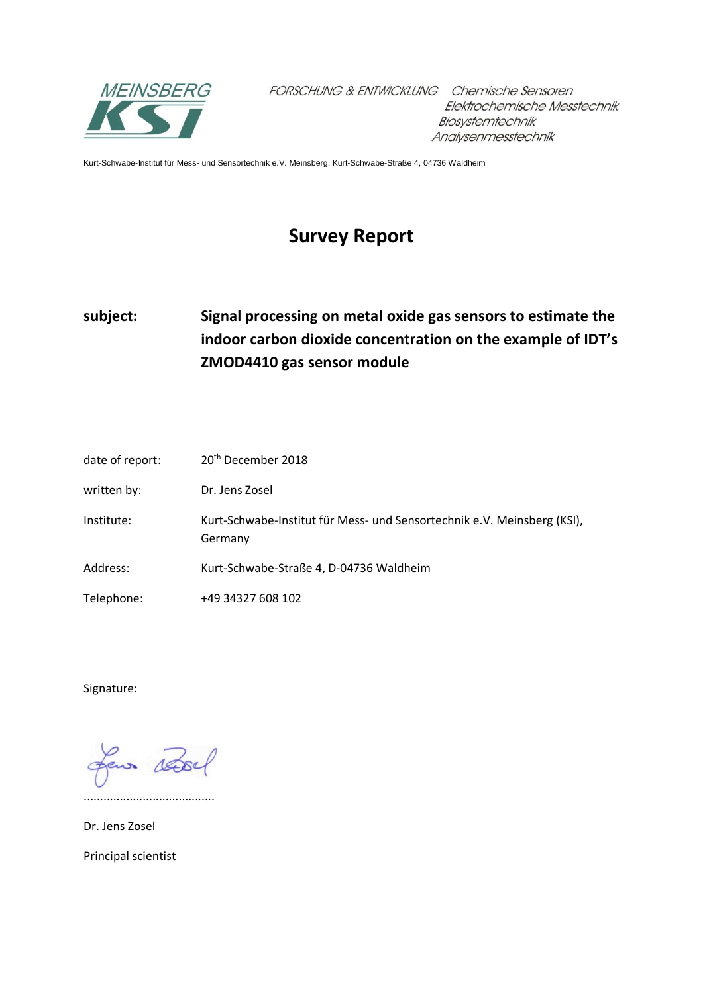

FORSCHUNG & ENTWICKLUNG Chemische Sensoren Elektrochemische Messtechnik Biosystemtechnik Analysenmesstechnik

Kurt-Schwabe-Institut für Mess- und Sensortechnik e.V. Meinsberg, Kurt-Schwabe-Straße 4, 04736 Waldheim

## **Survey Report**

## **subject: Signal processing on metal oxide gas sensors to estimate the indoor carbon dioxide concentration on the example of IDT's ZMOD4410 gas sensor module**

| date of report: | 20 <sup>th</sup> December 2018                                                     |
|-----------------|------------------------------------------------------------------------------------|
| written by:     | Dr. Jens Zosel                                                                     |
| Institute:      | Kurt-Schwabe-Institut für Mess- und Sensortechnik e.V. Meinsberg (KSI),<br>Germany |
| Address:        | Kurt-Schwabe-Straße 4, D-04736 Waldheim                                            |
| Telephone:      | +49 34327 608 102                                                                  |

Signature:

desse eus

........................................

Dr. Jens Zosel

Principal scientist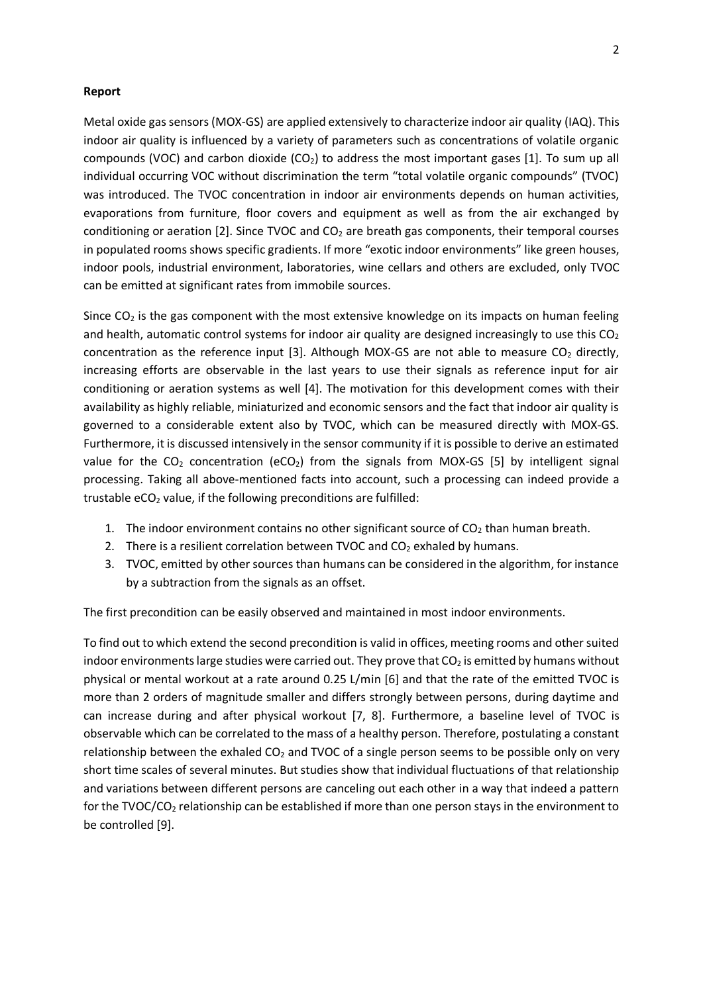## **Report**

Metal oxide gas sensors (MOX-GS) are applied extensively to characterize indoor air quality (IAQ). This indoor air quality is influenced by a variety of parameters such as concentrations of volatile organic compounds (VOC) and carbon dioxide (CO<sub>2</sub>) to address the most important gases [1]. To sum up all individual occurring VOC without discrimination the term "total volatile organic compounds" (TVOC) was introduced. The TVOC concentration in indoor air environments depends on human activities, evaporations from furniture, floor covers and equipment as well as from the air exchanged by conditioning or aeration  $[2]$ . Since TVOC and  $CO<sub>2</sub>$  are breath gas components, their temporal courses in populated rooms shows specific gradients. If more "exotic indoor environments" like green houses, indoor pools, industrial environment, laboratories, wine cellars and others are excluded, only TVOC can be emitted at significant rates from immobile sources.

Since  $CO<sub>2</sub>$  is the gas component with the most extensive knowledge on its impacts on human feeling and health, automatic control systems for indoor air quality are designed increasingly to use this  $CO<sub>2</sub>$ concentration as the reference input [3]. Although MOX-GS are not able to measure  $CO<sub>2</sub>$  directly, increasing efforts are observable in the last years to use their signals as reference input for air conditioning or aeration systems as well [4]. The motivation for this development comes with their availability as highly reliable, miniaturized and economic sensors and the fact that indoor air quality is governed to a considerable extent also by TVOC, which can be measured directly with MOX-GS. Furthermore, it is discussed intensively in the sensor community if it is possible to derive an estimated value for the  $CO<sub>2</sub>$  concentration (eCO<sub>2</sub>) from the signals from MOX-GS [5] by intelligent signal processing. Taking all above-mentioned facts into account, such a processing can indeed provide a trustable  $eCO<sub>2</sub>$  value, if the following preconditions are fulfilled:

- 1. The indoor environment contains no other significant source of  $CO<sub>2</sub>$  than human breath.
- 2. There is a resilient correlation between TVOC and  $CO<sub>2</sub>$  exhaled by humans.
- 3. TVOC, emitted by other sources than humans can be considered in the algorithm, for instance by a subtraction from the signals as an offset.

The first precondition can be easily observed and maintained in most indoor environments.

To find out to which extend the second precondition is valid in offices, meeting rooms and other suited indoor environments large studies were carried out. They prove that  $CO<sub>2</sub>$  is emitted by humans without physical or mental workout at a rate around 0.25 L/min [6] and that the rate of the emitted TVOC is more than 2 orders of magnitude smaller and differs strongly between persons, during daytime and can increase during and after physical workout [7, 8]. Furthermore, a baseline level of TVOC is observable which can be correlated to the mass of a healthy person. Therefore, postulating a constant relationship between the exhaled  $CO<sub>2</sub>$  and TVOC of a single person seems to be possible only on very short time scales of several minutes. But studies show that individual fluctuations of that relationship and variations between different persons are canceling out each other in a way that indeed a pattern for the TVOC/CO<sub>2</sub> relationship can be established if more than one person stays in the environment to be controlled [9].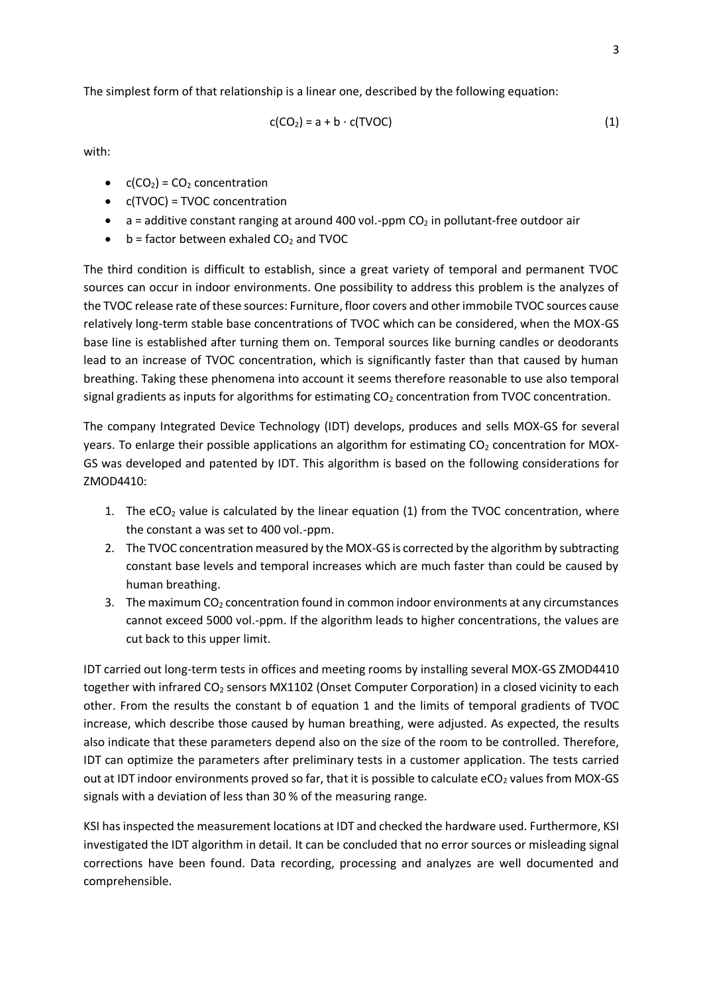The simplest form of that relationship is a linear one, described by the following equation:

$$
c(CO_2) = a + b \cdot c(TVOC)
$$
 (1)

with:

- $c(CO_2) = CO_2$  concentration
- c(TVOC) = TVOC concentration
- $\bullet$  a = additive constant ranging at around 400 vol.-ppm CO<sub>2</sub> in pollutant-free outdoor air
- $\bullet$  b = factor between exhaled CO<sub>2</sub> and TVOC

The third condition is difficult to establish, since a great variety of temporal and permanent TVOC sources can occur in indoor environments. One possibility to address this problem is the analyzes of the TVOC release rate of these sources: Furniture, floor covers and other immobile TVOC sources cause relatively long-term stable base concentrations of TVOC which can be considered, when the MOX-GS base line is established after turning them on. Temporal sources like burning candles or deodorants lead to an increase of TVOC concentration, which is significantly faster than that caused by human breathing. Taking these phenomena into account it seems therefore reasonable to use also temporal signal gradients as inputs for algorithms for estimating  $CO<sub>2</sub>$  concentration from TVOC concentration.

The company Integrated Device Technology (IDT) develops, produces and sells MOX-GS for several years. To enlarge their possible applications an algorithm for estimating  $CO<sub>2</sub>$  concentration for MOX-GS was developed and patented by IDT. This algorithm is based on the following considerations for ZMOD4410:

- 1. The  $eCO<sub>2</sub>$  value is calculated by the linear equation (1) from the TVOC concentration, where the constant a was set to 400 vol.-ppm.
- 2. The TVOC concentration measured by the MOX-GS is corrected by the algorithm by subtracting constant base levels and temporal increases which are much faster than could be caused by human breathing.
- 3. The maximum  $CO<sub>2</sub>$  concentration found in common indoor environments at any circumstances cannot exceed 5000 vol.-ppm. If the algorithm leads to higher concentrations, the values are cut back to this upper limit.

IDT carried out long-term tests in offices and meeting rooms by installing several MOX-GS ZMOD4410 together with infrared CO<sub>2</sub> sensors MX1102 (Onset Computer Corporation) in a closed vicinity to each other. From the results the constant b of equation 1 and the limits of temporal gradients of TVOC increase, which describe those caused by human breathing, were adjusted. As expected, the results also indicate that these parameters depend also on the size of the room to be controlled. Therefore, IDT can optimize the parameters after preliminary tests in a customer application. The tests carried out at IDT indoor environments proved so far, that it is possible to calculate  $eCO<sub>2</sub>$  values from MOX-GS signals with a deviation of less than 30 % of the measuring range.

KSI has inspected the measurement locations at IDT and checked the hardware used. Furthermore, KSI investigated the IDT algorithm in detail. It can be concluded that no error sources or misleading signal corrections have been found. Data recording, processing and analyzes are well documented and comprehensible.